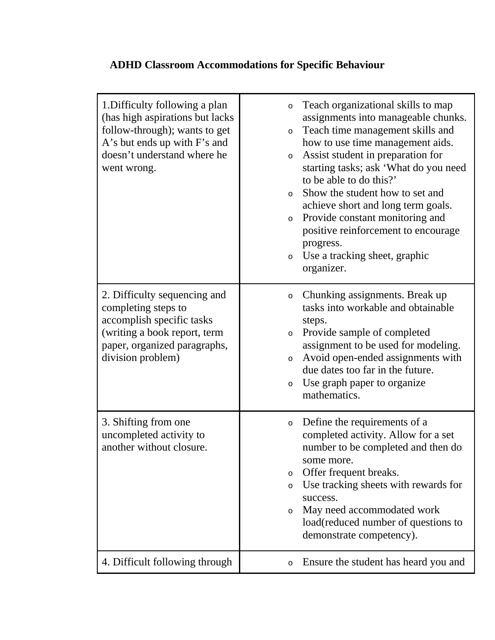## **ADHD Classroom Accommodations for Specific Behaviour**

| 1. Difficulty following a plan<br>(has high aspirations but lacks<br>follow-through); wants to get<br>A's but ends up with F's and<br>doesn't understand where he<br>went wrong. | Teach organizational skills to map<br>$\circ$<br>assignments into manageable chunks.<br>Teach time management skills and<br>$\circ$<br>how to use time management aids.<br>Assist student in preparation for<br>$\circ$<br>starting tasks; ask 'What do you need<br>to be able to do this?'<br>Show the student how to set and<br>$\circ$<br>achieve short and long term goals.<br>Provide constant monitoring and<br>$\circ$<br>positive reinforcement to encourage<br>progress.<br>Use a tracking sheet, graphic<br>$\circ$<br>organizer. |
|----------------------------------------------------------------------------------------------------------------------------------------------------------------------------------|---------------------------------------------------------------------------------------------------------------------------------------------------------------------------------------------------------------------------------------------------------------------------------------------------------------------------------------------------------------------------------------------------------------------------------------------------------------------------------------------------------------------------------------------|
| 2. Difficulty sequencing and<br>completing steps to<br>accomplish specific tasks<br>(writing a book report, term<br>paper, organized paragraphs,<br>division problem)            | Chunking assignments. Break up<br>$\circ$<br>tasks into workable and obtainable<br>steps.<br>Provide sample of completed<br>$\circ$<br>assignment to be used for modeling.<br>Avoid open-ended assignments with<br>$\circ$<br>due dates too far in the future.<br>Use graph paper to organize<br>$\circ$<br>mathematics.                                                                                                                                                                                                                    |
| 3. Shifting from one<br>uncompleted activity to<br>another without closure.                                                                                                      | Define the requirements of a<br>$\circ$<br>completed activity. Allow for a set<br>number to be completed and then do<br>some more.<br>Offer frequent breaks.<br>$\circ$<br>Use tracking sheets with rewards for<br>$\circ$<br>success.<br>May need accommodated work<br>$\circ$<br>load(reduced number of questions to<br>demonstrate competency).                                                                                                                                                                                          |
| 4. Difficult following through                                                                                                                                                   | Ensure the student has heard you and<br>$\circ$                                                                                                                                                                                                                                                                                                                                                                                                                                                                                             |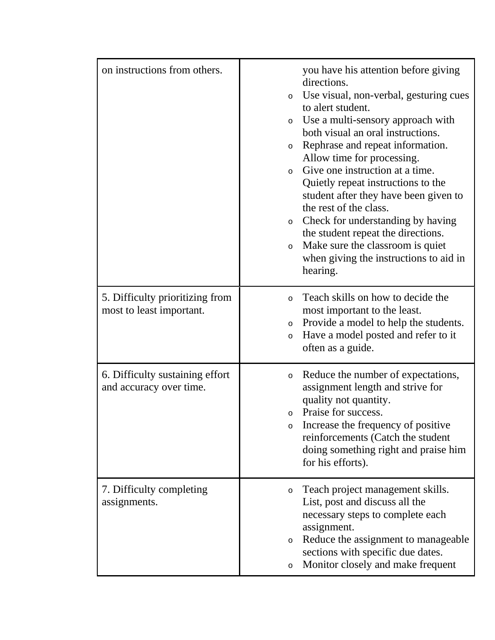| on instructions from others.                                | you have his attention before giving<br>directions.<br>Use visual, non-verbal, gesturing cues<br>$\circ$<br>to alert student.<br>Use a multi-sensory approach with<br>O<br>both visual an oral instructions.<br>Rephrase and repeat information.<br>$\circ$<br>Allow time for processing.<br>Give one instruction at a time.<br>$\circ$<br>Quietly repeat instructions to the<br>student after they have been given to<br>the rest of the class.<br>Check for understanding by having<br>$\circ$<br>the student repeat the directions.<br>Make sure the classroom is quiet<br>$\circ$<br>when giving the instructions to aid in<br>hearing. |
|-------------------------------------------------------------|---------------------------------------------------------------------------------------------------------------------------------------------------------------------------------------------------------------------------------------------------------------------------------------------------------------------------------------------------------------------------------------------------------------------------------------------------------------------------------------------------------------------------------------------------------------------------------------------------------------------------------------------|
| 5. Difficulty prioritizing from<br>most to least important. | Teach skills on how to decide the<br>$\circ$<br>most important to the least.<br>Provide a model to help the students.<br>O<br>Have a model posted and refer to it<br>$\circ$<br>often as a guide.                                                                                                                                                                                                                                                                                                                                                                                                                                           |
| 6. Difficulty sustaining effort<br>and accuracy over time.  | Reduce the number of expectations,<br>$\circ$<br>assignment length and strive for<br>quality not quantity.<br>Praise for success.<br>$\circ$<br>Increase the frequency of positive<br>O<br>reinforcements (Catch the student<br>doing something right and praise him<br>for his efforts).                                                                                                                                                                                                                                                                                                                                                   |
| 7. Difficulty completing<br>assignments.                    | Teach project management skills.<br>O<br>List, post and discuss all the<br>necessary steps to complete each<br>assignment.<br>Reduce the assignment to manageable<br>$\circ$<br>sections with specific due dates.<br>Monitor closely and make frequent<br>O                                                                                                                                                                                                                                                                                                                                                                                 |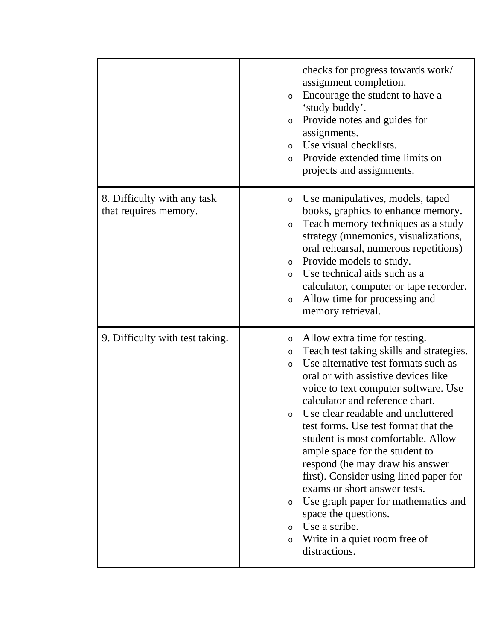|                                                      | checks for progress towards work/<br>assignment completion.<br>Encourage the student to have a<br>O<br>'study buddy'.<br>Provide notes and guides for<br>O<br>assignments.<br>Use visual checklists.<br>$\circ$<br>Provide extended time limits on<br>$\circ$<br>projects and assignments.                                                                                                                                                                                                                                                                                                                                                                                                          |
|------------------------------------------------------|-----------------------------------------------------------------------------------------------------------------------------------------------------------------------------------------------------------------------------------------------------------------------------------------------------------------------------------------------------------------------------------------------------------------------------------------------------------------------------------------------------------------------------------------------------------------------------------------------------------------------------------------------------------------------------------------------------|
| 8. Difficulty with any task<br>that requires memory. | Use manipulatives, models, taped<br>O<br>books, graphics to enhance memory.<br>Teach memory techniques as a study<br>$\circ$<br>strategy (mnemonics, visualizations,<br>oral rehearsal, numerous repetitions)<br>Provide models to study.<br>$\circ$<br>Use technical aids such as a<br>$\circ$<br>calculator, computer or tape recorder.<br>Allow time for processing and<br>$\circ$<br>memory retrieval.                                                                                                                                                                                                                                                                                          |
| 9. Difficulty with test taking.                      | Allow extra time for testing.<br>O<br>Teach test taking skills and strategies.<br>$\circ$<br>Use alternative test formats such as<br>$\circ$<br>oral or with assistive devices like<br>voice to text computer software. Use<br>calculator and reference chart.<br>Use clear readable and uncluttered<br>O<br>test forms. Use test format that the<br>student is most comfortable. Allow<br>ample space for the student to<br>respond (he may draw his answer<br>first). Consider using lined paper for<br>exams or short answer tests.<br>Use graph paper for mathematics and<br>O<br>space the questions.<br>Use a scribe.<br>$\circ$<br>Write in a quiet room free of<br>$\circ$<br>distractions. |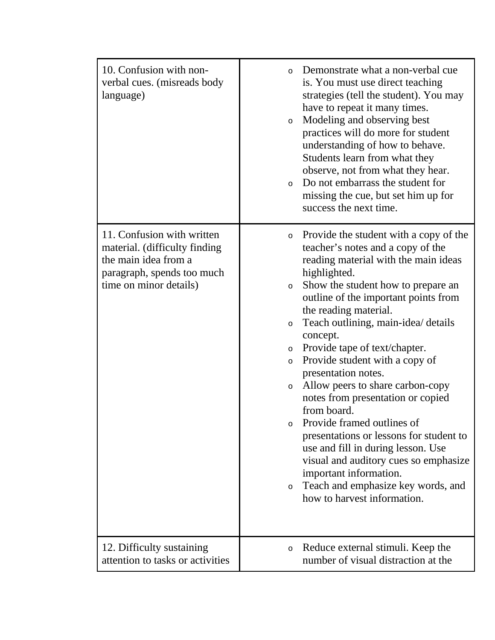| 10. Confusion with non-<br>verbal cues. (misreads body<br>language)                                                                         | Demonstrate what a non-verbal cue<br>$\circ$<br>is. You must use direct teaching<br>strategies (tell the student). You may<br>have to repeat it many times.<br>Modeling and observing best<br>$\circ$<br>practices will do more for student<br>understanding of how to behave.<br>Students learn from what they<br>observe, not from what they hear.<br>Do not embarrass the student for<br>$\circ$<br>missing the cue, but set him up for<br>success the next time.                                                                                                                                                                                                                                                                                                                                                     |
|---------------------------------------------------------------------------------------------------------------------------------------------|--------------------------------------------------------------------------------------------------------------------------------------------------------------------------------------------------------------------------------------------------------------------------------------------------------------------------------------------------------------------------------------------------------------------------------------------------------------------------------------------------------------------------------------------------------------------------------------------------------------------------------------------------------------------------------------------------------------------------------------------------------------------------------------------------------------------------|
| 11. Confusion with written<br>material. (difficulty finding<br>the main idea from a<br>paragraph, spends too much<br>time on minor details) | Provide the student with a copy of the<br>$\circ$<br>teacher's notes and a copy of the<br>reading material with the main ideas<br>highlighted.<br>Show the student how to prepare an<br>$\circ$<br>outline of the important points from<br>the reading material.<br>Teach outlining, main-idea/ details<br>$\circ$<br>concept.<br>Provide tape of text/chapter.<br>$\circ$<br>Provide student with a copy of<br>$\circ$<br>presentation notes.<br>Allow peers to share carbon-copy<br>$\circ$<br>notes from presentation or copied<br>from board.<br>Provide framed outlines of<br>O<br>presentations or lessons for student to<br>use and fill in during lesson. Use<br>visual and auditory cues so emphasize<br>important information.<br>Teach and emphasize key words, and<br>$\circ$<br>how to harvest information. |
| 12. Difficulty sustaining<br>attention to tasks or activities                                                                               | Reduce external stimuli. Keep the<br>$\circ$<br>number of visual distraction at the                                                                                                                                                                                                                                                                                                                                                                                                                                                                                                                                                                                                                                                                                                                                      |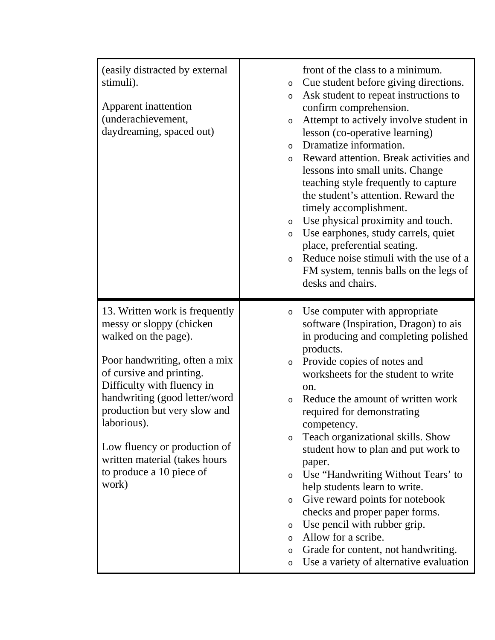| (easily distracted by external<br>stimuli).<br>Apparent inattention<br>(underachievement,<br>daydreaming, spaced out)                                                                                                                                                                                                                                               | front of the class to a minimum.<br>Cue student before giving directions.<br>$\circ$<br>Ask student to repeat instructions to<br>$\circ$<br>confirm comprehension.<br>Attempt to actively involve student in<br>$\circ$<br>lesson (co-operative learning)<br>Dramatize information.<br>$\circ$<br>Reward attention. Break activities and<br>$\circ$<br>lessons into small units. Change<br>teaching style frequently to capture<br>the student's attention. Reward the<br>timely accomplishment.<br>Use physical proximity and touch.<br>$\circ$<br>Use earphones, study carrels, quiet<br>$\circ$<br>place, preferential seating.<br>Reduce noise stimuli with the use of a<br>$\circ$<br>FM system, tennis balls on the legs of<br>desks and chairs.                              |
|---------------------------------------------------------------------------------------------------------------------------------------------------------------------------------------------------------------------------------------------------------------------------------------------------------------------------------------------------------------------|-------------------------------------------------------------------------------------------------------------------------------------------------------------------------------------------------------------------------------------------------------------------------------------------------------------------------------------------------------------------------------------------------------------------------------------------------------------------------------------------------------------------------------------------------------------------------------------------------------------------------------------------------------------------------------------------------------------------------------------------------------------------------------------|
| 13. Written work is frequently<br>messy or sloppy (chicken<br>walked on the page).<br>Poor handwriting, often a mix<br>of cursive and printing.<br>Difficulty with fluency in<br>handwriting (good letter/word<br>production but very slow and<br>laborious).<br>Low fluency or production of<br>written material (takes hours<br>to produce a 10 piece of<br>work) | Use computer with appropriate<br>$\circ$<br>software (Inspiration, Dragon) to ais<br>in producing and completing polished<br>products.<br>Provide copies of notes and<br>$\circ$<br>worksheets for the student to write<br>on.<br>Reduce the amount of written work<br>$\circ$<br>required for demonstrating<br>competency.<br>Teach organizational skills. Show<br>$\circ$<br>student how to plan and put work to<br>paper.<br>Use "Handwriting Without Tears' to<br>$\circ$<br>help students learn to write.<br>Give reward points for notebook<br>$\circ$<br>checks and proper paper forms.<br>Use pencil with rubber grip.<br>$\circ$<br>Allow for a scribe.<br>$\circ$<br>Grade for content, not handwriting.<br>$\circ$<br>Use a variety of alternative evaluation<br>$\circ$ |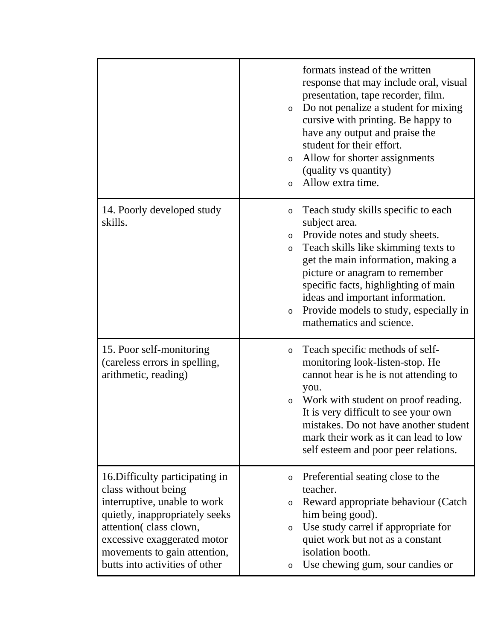|                                                                                                                                                                                                                                                     | formats instead of the written<br>response that may include oral, visual<br>presentation, tape recorder, film.<br>Do not penalize a student for mixing<br>$\circ$<br>cursive with printing. Be happy to<br>have any output and praise the<br>student for their effort.<br>Allow for shorter assignments<br>$\circ$<br>(quality vs quantity)<br>Allow extra time.<br>$\Omega$                         |
|-----------------------------------------------------------------------------------------------------------------------------------------------------------------------------------------------------------------------------------------------------|------------------------------------------------------------------------------------------------------------------------------------------------------------------------------------------------------------------------------------------------------------------------------------------------------------------------------------------------------------------------------------------------------|
| 14. Poorly developed study<br>skills.                                                                                                                                                                                                               | Teach study skills specific to each<br>$\circ$<br>subject area.<br>Provide notes and study sheets.<br>$\circ$<br>Teach skills like skimming texts to<br>$\circ$<br>get the main information, making a<br>picture or anagram to remember<br>specific facts, highlighting of main<br>ideas and important information.<br>Provide models to study, especially in<br>$\circ$<br>mathematics and science. |
| 15. Poor self-monitoring<br>(careless errors in spelling,<br>arithmetic, reading)                                                                                                                                                                   | Teach specific methods of self-<br>$\circ$<br>monitoring look-listen-stop. He<br>cannot hear is he is not attending to<br>you.<br>Work with student on proof reading.<br>$\circ$<br>It is very difficult to see your own<br>mistakes. Do not have another student<br>mark their work as it can lead to low<br>self esteem and poor peer relations.                                                   |
| 16. Difficulty participating in<br>class without being<br>interruptive, unable to work<br>quietly, inappropriately seeks<br>attention(class clown,<br>excessive exaggerated motor<br>movements to gain attention,<br>butts into activities of other | Preferential seating close to the<br>$\circ$<br>teacher.<br>Reward appropriate behaviour (Catch<br>$\circ$<br>him being good).<br>Use study carrel if appropriate for<br>$\circ$<br>quiet work but not as a constant<br>isolation booth.<br>Use chewing gum, sour candies or<br>$\circ$                                                                                                              |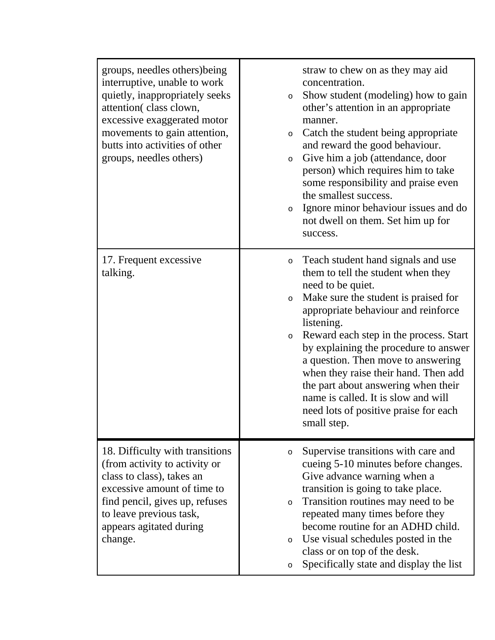| groups, needles others) being<br>interruptive, unable to work<br>quietly, inappropriately seeks<br>attention(class clown,<br>excessive exaggerated motor<br>movements to gain attention,<br>butts into activities of other<br>groups, needles others) | straw to chew on as they may aid<br>concentration.<br>Show student (modeling) how to gain<br>$\circ$<br>other's attention in an appropriate<br>manner.<br>Catch the student being appropriate<br>$\circ$<br>and reward the good behaviour.<br>Give him a job (attendance, door<br>$\circ$<br>person) which requires him to take<br>some responsibility and praise even<br>the smallest success.<br>Ignore minor behaviour issues and do<br>$\circ$<br>not dwell on them. Set him up for<br>success.                                |
|-------------------------------------------------------------------------------------------------------------------------------------------------------------------------------------------------------------------------------------------------------|------------------------------------------------------------------------------------------------------------------------------------------------------------------------------------------------------------------------------------------------------------------------------------------------------------------------------------------------------------------------------------------------------------------------------------------------------------------------------------------------------------------------------------|
| 17. Frequent excessive<br>talking.                                                                                                                                                                                                                    | Teach student hand signals and use<br>$\circ$<br>them to tell the student when they<br>need to be quiet.<br>Make sure the student is praised for<br>$\circ$<br>appropriate behaviour and reinforce<br>listening.<br>Reward each step in the process. Start<br>$\circ$<br>by explaining the procedure to answer<br>a question. Then move to answering<br>when they raise their hand. Then add<br>the part about answering when their<br>name is called. It is slow and will<br>need lots of positive praise for each<br>small step. |
| 18. Difficulty with transitions<br>(from activity to activity or<br>class to class), takes an<br>excessive amount of time to<br>find pencil, gives up, refuses<br>to leave previous task,<br>appears agitated during<br>change.                       | Supervise transitions with care and<br>$\circ$<br>cueing 5-10 minutes before changes.<br>Give advance warning when a<br>transition is going to take place.<br>Transition routines may need to be<br>$\circ$<br>repeated many times before they<br>become routine for an ADHD child.<br>Use visual schedules posted in the<br>$\circ$<br>class or on top of the desk.<br>Specifically state and display the list<br>$\circ$                                                                                                         |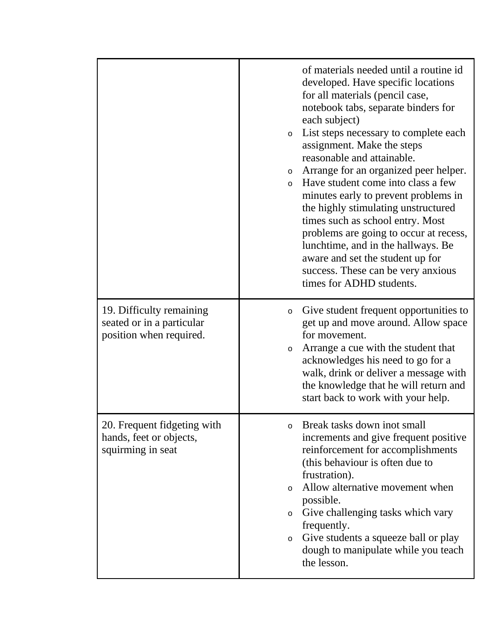|                                                                                  | of materials needed until a routine id<br>developed. Have specific locations<br>for all materials (pencil case,<br>notebook tabs, separate binders for<br>each subject)<br>List steps necessary to complete each<br>$\circ$<br>assignment. Make the steps<br>reasonable and attainable.<br>Arrange for an organized peer helper.<br>$\circ$<br>Have student come into class a few<br>$\circ$<br>minutes early to prevent problems in<br>the highly stimulating unstructured<br>times such as school entry. Most<br>problems are going to occur at recess,<br>lunchtime, and in the hallways. Be<br>aware and set the student up for<br>success. These can be very anxious<br>times for ADHD students. |
|----------------------------------------------------------------------------------|-------------------------------------------------------------------------------------------------------------------------------------------------------------------------------------------------------------------------------------------------------------------------------------------------------------------------------------------------------------------------------------------------------------------------------------------------------------------------------------------------------------------------------------------------------------------------------------------------------------------------------------------------------------------------------------------------------|
| 19. Difficulty remaining<br>seated or in a particular<br>position when required. | Give student frequent opportunities to<br>$\circ$<br>get up and move around. Allow space<br>for movement.<br>Arrange a cue with the student that<br>$\circ$<br>acknowledges his need to go for a<br>walk, drink or deliver a message with<br>the knowledge that he will return and<br>start back to work with your help.                                                                                                                                                                                                                                                                                                                                                                              |
| 20. Frequent fidgeting with<br>hands, feet or objects,<br>squirming in seat      | Break tasks down inot small<br>$\Omega$<br>increments and give frequent positive<br>reinforcement for accomplishments<br>(this behaviour is often due to<br>frustration).<br>Allow alternative movement when<br>$\circ$<br>possible.<br>Give challenging tasks which vary<br>$\circ$<br>frequently.<br>Give students a squeeze ball or play<br>$\circ$<br>dough to manipulate while you teach<br>the lesson.                                                                                                                                                                                                                                                                                          |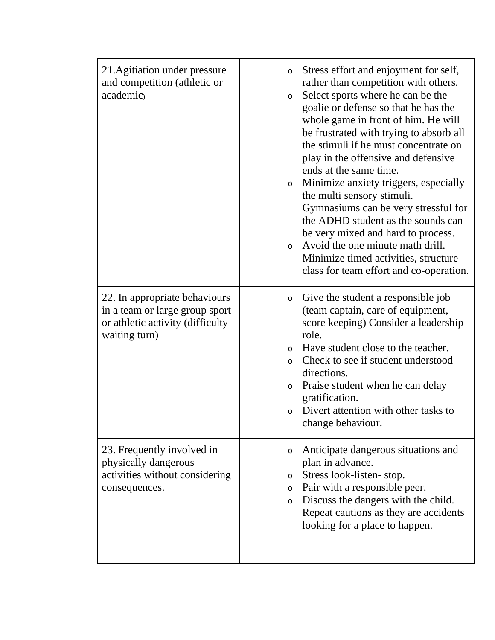| 21. Agitiation under pressure<br>and competition (athletic or<br>academic)                                           | Stress effort and enjoyment for self,<br>$\circ$<br>rather than competition with others.<br>Select sports where he can be the<br>$\circ$<br>goalie or defense so that he has the<br>whole game in front of him. He will<br>be frustrated with trying to absorb all<br>the stimuli if he must concentrate on<br>play in the offensive and defensive<br>ends at the same time.<br>Minimize anxiety triggers, especially<br>$\circ$<br>the multi sensory stimuli.<br>Gymnasiums can be very stressful for<br>the ADHD student as the sounds can<br>be very mixed and hard to process.<br>Avoid the one minute math drill.<br>$\circ$<br>Minimize timed activities, structure<br>class for team effort and co-operation. |
|----------------------------------------------------------------------------------------------------------------------|----------------------------------------------------------------------------------------------------------------------------------------------------------------------------------------------------------------------------------------------------------------------------------------------------------------------------------------------------------------------------------------------------------------------------------------------------------------------------------------------------------------------------------------------------------------------------------------------------------------------------------------------------------------------------------------------------------------------|
| 22. In appropriate behaviours<br>in a team or large group sport<br>or athletic activity (difficulty<br>waiting turn) | Give the student a responsible job<br>O<br>(team captain, care of equipment,<br>score keeping) Consider a leadership<br>role.<br>Have student close to the teacher.<br>$\circ$<br>Check to see if student understood<br>$\circ$<br>directions.<br>Praise student when he can delay<br>$\circ$<br>gratification.<br>Divert attention with other tasks to<br>change behaviour.                                                                                                                                                                                                                                                                                                                                         |
| 23. Frequently involved in<br>physically dangerous<br>activities without considering<br>consequences.                | Anticipate dangerous situations and<br>O<br>plan in advance.<br>Stress look-listen-stop.<br>$\circ$<br>Pair with a responsible peer.<br>O<br>Discuss the dangers with the child.<br>$\circ$<br>Repeat cautions as they are accidents<br>looking for a place to happen.                                                                                                                                                                                                                                                                                                                                                                                                                                               |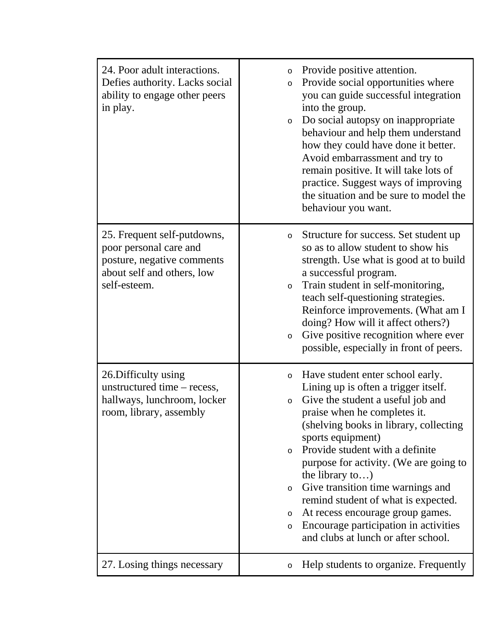| 24. Poor adult interactions.<br>Defies authority. Lacks social<br>ability to engage other peers<br>in play.                       | Provide positive attention.<br>$\circ$<br>Provide social opportunities where<br>$\circ$<br>you can guide successful integration<br>into the group.<br>Do social autopsy on inappropriate<br>$\circ$<br>behaviour and help them understand<br>how they could have done it better.<br>Avoid embarrassment and try to<br>remain positive. It will take lots of<br>practice. Suggest ways of improving<br>the situation and be sure to model the<br>behaviour you want.                                                                                                            |
|-----------------------------------------------------------------------------------------------------------------------------------|--------------------------------------------------------------------------------------------------------------------------------------------------------------------------------------------------------------------------------------------------------------------------------------------------------------------------------------------------------------------------------------------------------------------------------------------------------------------------------------------------------------------------------------------------------------------------------|
| 25. Frequent self-putdowns,<br>poor personal care and<br>posture, negative comments<br>about self and others, low<br>self-esteem. | Structure for success. Set student up<br>$\circ$<br>so as to allow student to show his<br>strength. Use what is good at to build<br>a successful program.<br>Train student in self-monitoring,<br>$\circ$<br>teach self-questioning strategies.<br>Reinforce improvements. (What am I<br>doing? How will it affect others?)<br>Give positive recognition where ever<br>$\circ$<br>possible, especially in front of peers.                                                                                                                                                      |
| 26. Difficulty using<br>unstructured time – recess,<br>hallways, lunchroom, locker<br>room, library, assembly                     | Have student enter school early.<br>$\circ$<br>Lining up is often a trigger itself.<br>Give the student a useful job and<br>$\circ$<br>praise when he completes it.<br>(shelving books in library, collecting<br>sports equipment)<br>Provide student with a definite<br>$\circ$<br>purpose for activity. (We are going to<br>the library to)<br>Give transition time warnings and<br>$\circ$<br>remind student of what is expected.<br>At recess encourage group games.<br>$\circ$<br>Encourage participation in activities<br>$\circ$<br>and clubs at lunch or after school. |
| 27. Losing things necessary                                                                                                       | Help students to organize. Frequently<br>$\circ$                                                                                                                                                                                                                                                                                                                                                                                                                                                                                                                               |